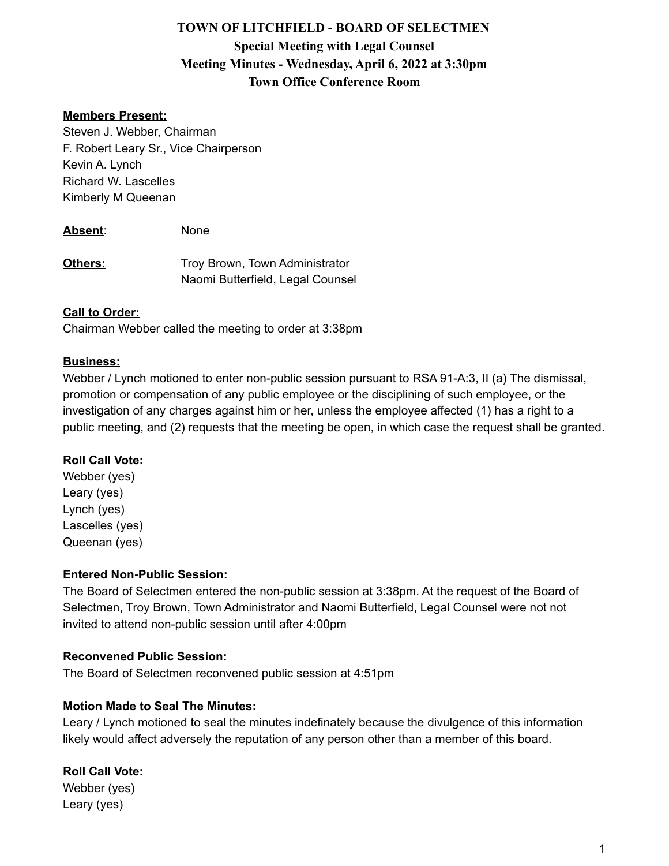# **TOWN OF LITCHFIELD - BOARD OF SELECTMEN Special Meeting with Legal Counsel Meeting Minutes - Wednesday, April 6, 2022 at 3:30pm Town Office Conference Room**

# **Members Present:**

Steven J. Webber, Chairman F. Robert Leary Sr., Vice Chairperson Kevin A. Lynch Richard W. Lascelles Kimberly M Queenan

**Absent**: None

**Others:** Troy Brown, Town Administrator Naomi Butterfield, Legal Counsel

#### **Call to Order:**

Chairman Webber called the meeting to order at 3:38pm

#### **Business:**

Webber / Lynch motioned to enter non-public session pursuant to RSA 91-A:3, II (a) The dismissal, promotion or compensation of any public employee or the disciplining of such employee, or the investigation of any charges against him or her, unless the employee affected (1) has a right to a public meeting, and (2) requests that the meeting be open, in which case the request shall be granted.

#### **Roll Call Vote:**

Webber (yes) Leary (yes) Lynch (yes) Lascelles (yes) Queenan (yes)

#### **Entered Non-Public Session:**

The Board of Selectmen entered the non-public session at 3:38pm. At the request of the Board of Selectmen, Troy Brown, Town Administrator and Naomi Butterfield, Legal Counsel were not not invited to attend non-public session until after 4:00pm

# **Reconvened Public Session:**

The Board of Selectmen reconvened public session at 4:51pm

## **Motion Made to Seal The Minutes:**

Leary / Lynch motioned to seal the minutes indefinately because the divulgence of this information likely would affect adversely the reputation of any person other than a member of this board.

# **Roll Call Vote:**

Webber (yes) Leary (yes)